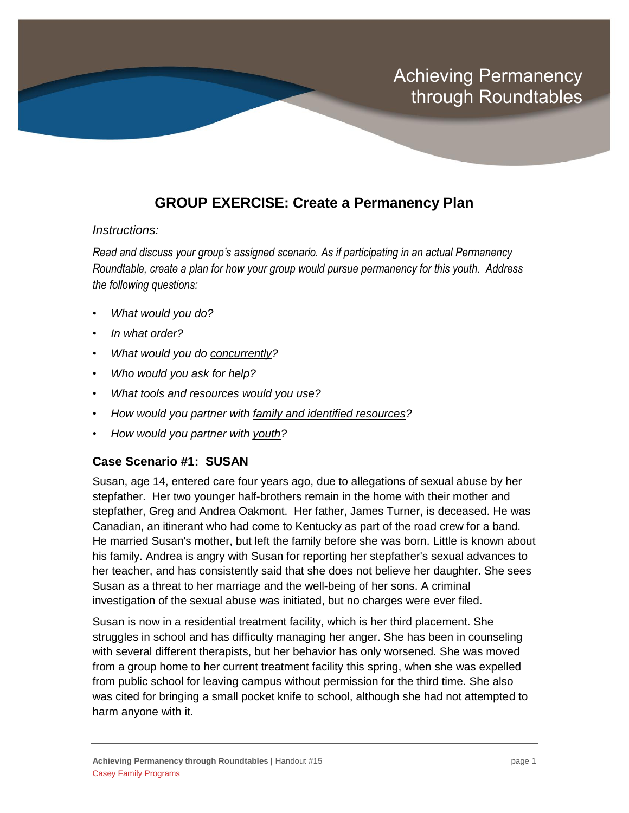## **GROUP EXERCISE: Create a Permanency Plan**

## *Instructions:*

*Read and discuss your group's assigned scenario. As if participating in an actual Permanency Roundtable, create a plan for how your group would pursue permanency for this youth. Address the following questions:*

- *What would you do?*
- *In what order?*
- *What would you do concurrently?*
- *Who would you ask for help?*
- *What tools and resources would you use?*
- *How would you partner with family and identified resources?*
- *How would you partner with youth?*

## **Case Scenario #1: SUSAN**

Susan, age 14, entered care four years ago, due to allegations of sexual abuse by her stepfather. Her two younger half-brothers remain in the home with their mother and stepfather, Greg and Andrea Oakmont. Her father, James Turner, is deceased. He was Canadian, an itinerant who had come to Kentucky as part of the road crew for a band. He married Susan's mother, but left the family before she was born. Little is known about his family. Andrea is angry with Susan for reporting her stepfather's sexual advances to her teacher, and has consistently said that she does not believe her daughter. She sees Susan as a threat to her marriage and the well-being of her sons. A criminal investigation of the sexual abuse was initiated, but no charges were ever filed.

Susan is now in a residential treatment facility, which is her third placement. She struggles in school and has difficulty managing her anger. She has been in counseling with several different therapists, but her behavior has only worsened. She was moved from a group home to her current treatment facility this spring, when she was expelled from public school for leaving campus without permission for the third time. She also was cited for bringing a small pocket knife to school, although she had not attempted to harm anyone with it.